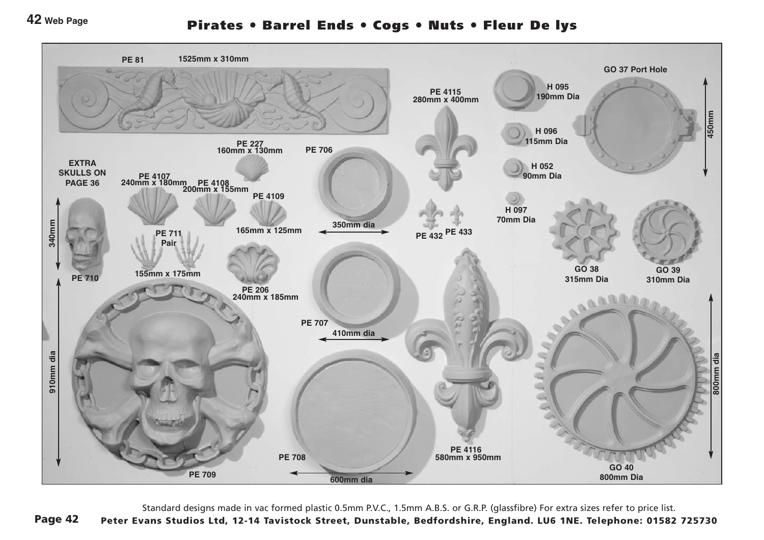## **42 Web Page**

## Pirates ● Barrel Ends ● Cogs ● Nuts ● Fleur De lys



Standard designs made in vac formed plastic 0.5mm P.V.C., 1.5mm A.B.S. or G.R.P. (glassfibre) For extra sizes refer to price list.

Page 42 Peter Evans Studios Ltd, 12-14 Tavistock Street, Dunstable, Bedfordshire, England. LU6 1NE. Telephone: 01582 725730